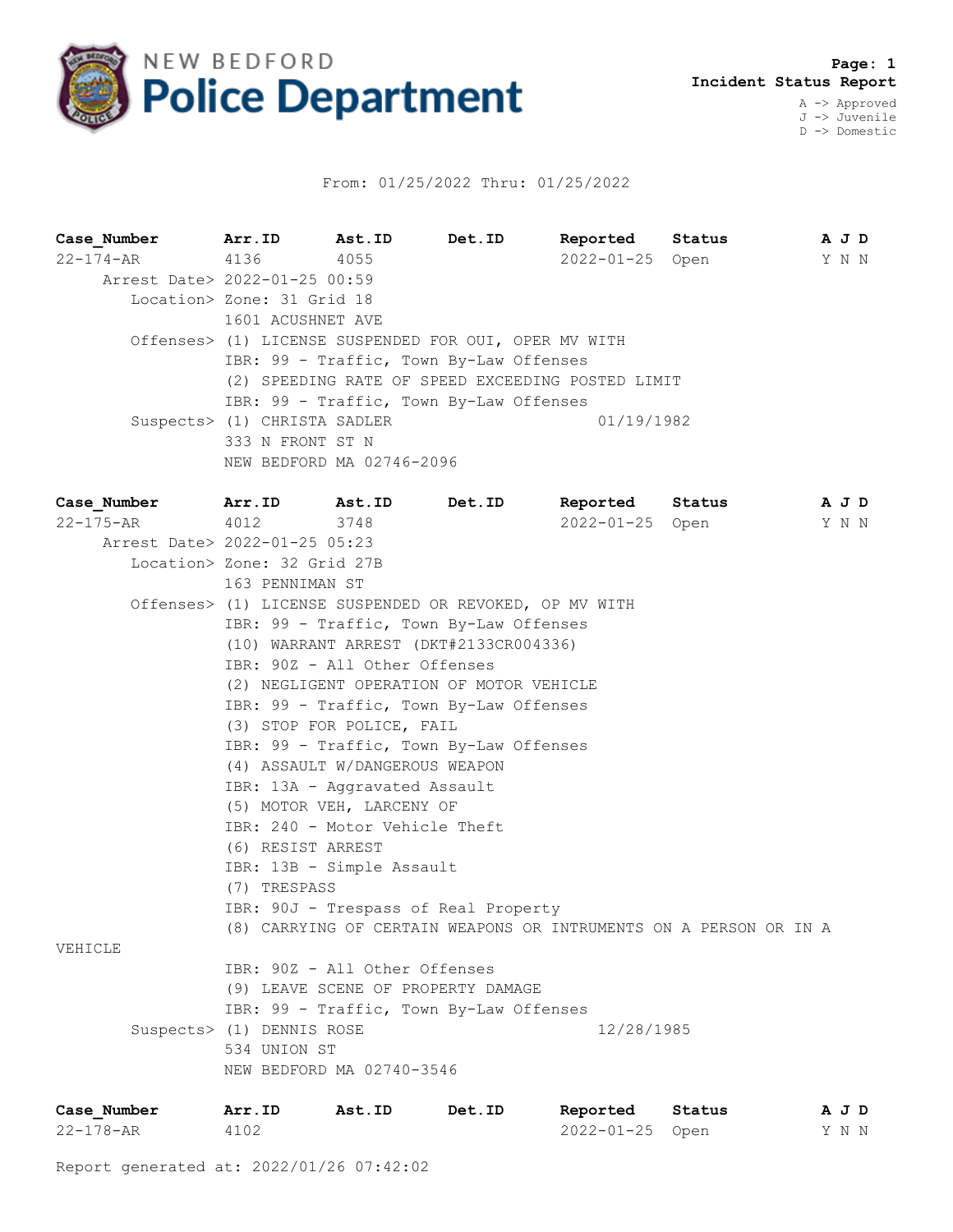

## From: 01/25/2022 Thru: 01/25/2022

| Case Number Arr.ID            |                                                        | Ast.ID                                                | Det.ID |                 | Reported Status                                                   | A J D |  |  |  |  |  |
|-------------------------------|--------------------------------------------------------|-------------------------------------------------------|--------|-----------------|-------------------------------------------------------------------|-------|--|--|--|--|--|
| 22-174-AR 4136                |                                                        | 4055                                                  |        |                 | 2022-01-25 Open                                                   | Y N N |  |  |  |  |  |
| Arrest Date> 2022-01-25 00:59 |                                                        |                                                       |        |                 |                                                                   |       |  |  |  |  |  |
|                               | Location> Zone: 31 Grid 18                             |                                                       |        |                 |                                                                   |       |  |  |  |  |  |
|                               | 1601 ACUSHNET AVE                                      |                                                       |        |                 |                                                                   |       |  |  |  |  |  |
|                               |                                                        | Offenses> (1) LICENSE SUSPENDED FOR OUI, OPER MV WITH |        |                 |                                                                   |       |  |  |  |  |  |
|                               | IBR: 99 - Traffic, Town By-Law Offenses                |                                                       |        |                 |                                                                   |       |  |  |  |  |  |
|                               | (2) SPEEDING RATE OF SPEED EXCEEDING POSTED LIMIT      |                                                       |        |                 |                                                                   |       |  |  |  |  |  |
|                               |                                                        | IBR: 99 - Traffic, Town By-Law Offenses               |        |                 |                                                                   |       |  |  |  |  |  |
|                               | Suspects> (1) CHRISTA SADLER                           |                                                       |        | 01/19/1982      |                                                                   |       |  |  |  |  |  |
|                               | 333 N FRONT ST N                                       |                                                       |        |                 |                                                                   |       |  |  |  |  |  |
|                               |                                                        | NEW BEDFORD MA 02746-2096                             |        |                 |                                                                   |       |  |  |  |  |  |
| Case Number Arr. ID Ast. ID   |                                                        |                                                       | Det.ID |                 | Reported Status                                                   | A J D |  |  |  |  |  |
| 22-175-AR 4012                |                                                        | 3748                                                  |        | 2022-01-25 Open |                                                                   | Y N N |  |  |  |  |  |
| Arrest Date> 2022-01-25 05:23 |                                                        |                                                       |        |                 |                                                                   |       |  |  |  |  |  |
|                               | Location> Zone: 32 Grid 27B                            |                                                       |        |                 |                                                                   |       |  |  |  |  |  |
|                               | 163 PENNIMAN ST                                        |                                                       |        |                 |                                                                   |       |  |  |  |  |  |
|                               | Offenses> (1) LICENSE SUSPENDED OR REVOKED, OP MV WITH |                                                       |        |                 |                                                                   |       |  |  |  |  |  |
|                               | IBR: 99 - Traffic, Town By-Law Offenses                |                                                       |        |                 |                                                                   |       |  |  |  |  |  |
|                               | (10) WARRANT ARREST (DKT#2133CR004336)                 |                                                       |        |                 |                                                                   |       |  |  |  |  |  |
|                               | IBR: 90Z - All Other Offenses                          |                                                       |        |                 |                                                                   |       |  |  |  |  |  |
|                               | (2) NEGLIGENT OPERATION OF MOTOR VEHICLE               |                                                       |        |                 |                                                                   |       |  |  |  |  |  |
|                               | IBR: 99 - Traffic, Town By-Law Offenses                |                                                       |        |                 |                                                                   |       |  |  |  |  |  |
|                               | (3) STOP FOR POLICE, FAIL                              |                                                       |        |                 |                                                                   |       |  |  |  |  |  |
|                               | IBR: 99 - Traffic, Town By-Law Offenses                |                                                       |        |                 |                                                                   |       |  |  |  |  |  |
|                               | (4) ASSAULT W/DANGEROUS WEAPON                         |                                                       |        |                 |                                                                   |       |  |  |  |  |  |
|                               |                                                        | IBR: 13A - Aggravated Assault                         |        |                 |                                                                   |       |  |  |  |  |  |
|                               |                                                        | (5) MOTOR VEH, LARCENY OF                             |        |                 |                                                                   |       |  |  |  |  |  |
|                               | IBR: 240 - Motor Vehicle Theft                         |                                                       |        |                 |                                                                   |       |  |  |  |  |  |
|                               | (6) RESIST ARREST                                      |                                                       |        |                 |                                                                   |       |  |  |  |  |  |
|                               | IBR: 13B - Simple Assault                              |                                                       |        |                 |                                                                   |       |  |  |  |  |  |
|                               | (7) TRESPASS                                           |                                                       |        |                 |                                                                   |       |  |  |  |  |  |
|                               |                                                        | IBR: 90J - Trespass of Real Property                  |        |                 |                                                                   |       |  |  |  |  |  |
|                               |                                                        |                                                       |        |                 | (8) CARRYING OF CERTAIN WEAPONS OR INTRUMENTS ON A PERSON OR IN A |       |  |  |  |  |  |
| VEHICLE                       |                                                        |                                                       |        |                 |                                                                   |       |  |  |  |  |  |
|                               | IBR: 90Z - All Other Offenses                          |                                                       |        |                 |                                                                   |       |  |  |  |  |  |
|                               |                                                        | (9) LEAVE SCENE OF PROPERTY DAMAGE                    |        |                 |                                                                   |       |  |  |  |  |  |
|                               |                                                        | IBR: 99 - Traffic, Town By-Law Offenses               |        |                 |                                                                   |       |  |  |  |  |  |
|                               | Suspects> (1) DENNIS ROSE                              |                                                       |        | 12/28/1985      |                                                                   |       |  |  |  |  |  |
|                               | 534 UNION ST                                           |                                                       |        |                 |                                                                   |       |  |  |  |  |  |
|                               |                                                        | NEW BEDFORD MA 02740-3546                             |        |                 |                                                                   |       |  |  |  |  |  |
|                               |                                                        |                                                       |        |                 |                                                                   |       |  |  |  |  |  |

| Case Number | Arr.ID | Ast.ID | Det.ID | Reported        | Status | AJD   |  |
|-------------|--------|--------|--------|-----------------|--------|-------|--|
| 22-178-AR   | 4102   |        |        | 2022-01-25 Open |        | Y N N |  |